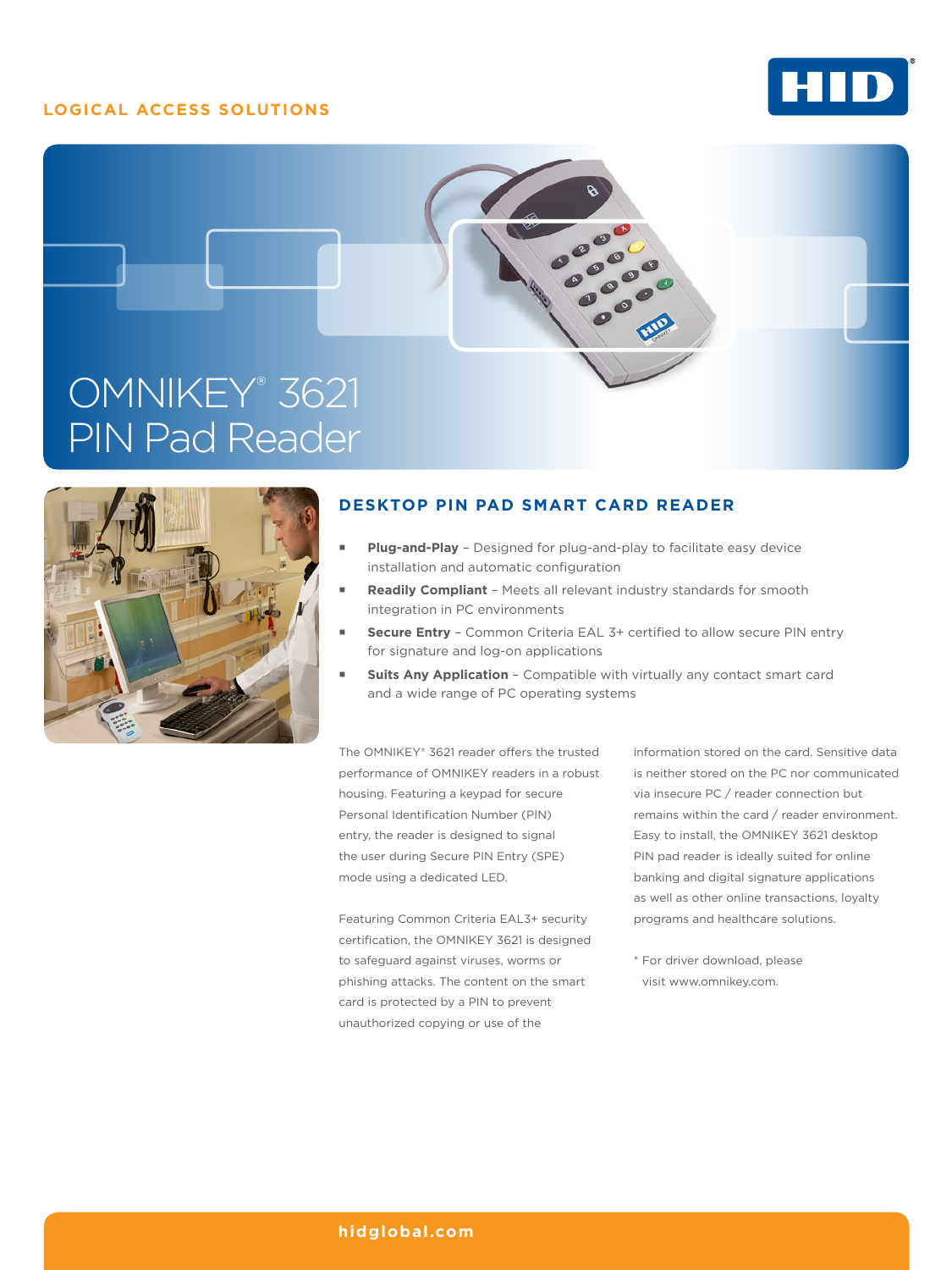## **LOGICAL ACCESS SOLUTIONS**







# **DESKTOP PIN PAD SMART CARD READER**

- **Plug-and-Play** Designed for plug-and-play to facilitate easy device installation and automatic configuration
- **Readily Compliant** Meets all relevant industry standards for smooth integration in PC environments
- **Secure Entry** Common Criteria EAL 3+ certified to allow secure PIN entry for signature and log-on applications
- **Suits Any Application** Compatible with virtually any contact smart card and a wide range of PC operating systems

The OMNIKEY® 3621 reader offers the trusted performance of OMNIKEY readers in a robust housing. Featuring a keypad for secure Personal Identification Number (PIN) entry, the reader is designed to signal the user during Secure PIN Entry (SPE) mode using a dedicated LED.

Featuring Common Criteria EAL3+ security certification, the OMNIKEY 3621 is designed to safeguard against viruses, worms or phishing attacks. The content on the smart card is protected by a PIN to prevent unauthorized copying or use of the

information stored on the card. Sensitive data is neither stored on the PC nor communicated via insecure PC / reader connection but remains within the card / reader environment. Easy to install, the OMNIKEY 3621 desktop PIN pad reader is ideally suited for online banking and digital signature applications as well as other online transactions, loyalty programs and healthcare solutions.

\* For driver download, please visit www.omnikey.com.

### **[hidglobal.com](http://www.hidglobal.com)**